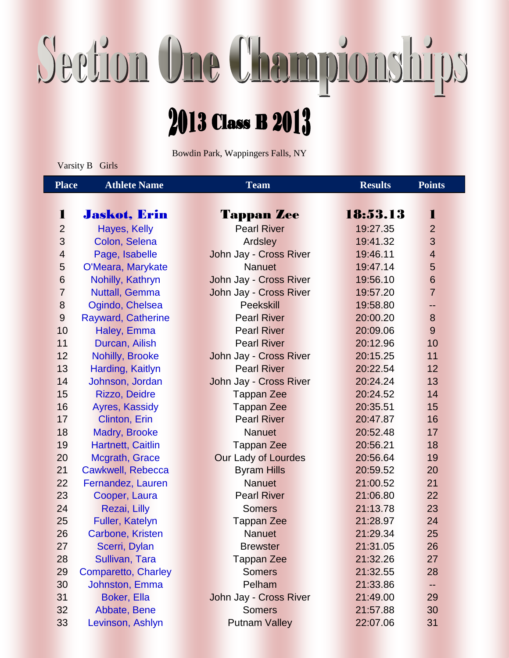## Section One Championships

## 2013 Class B 2013

Bowdin Park, Wappingers Falls, NY

Varsity B Girls

| <b>Place</b>             | <b>Athlete Name</b>        | <b>Team</b>                | <b>Results</b> | <b>Points</b>           |
|--------------------------|----------------------------|----------------------------|----------------|-------------------------|
|                          |                            |                            |                |                         |
| 1                        | <b>Jaskot, Erin</b>        | <b>Tappan Zee</b>          | 18:53.13       | 1                       |
| $\overline{2}$           | Hayes, Kelly               | <b>Pearl River</b>         | 19:27.35       | $\overline{2}$          |
| 3                        | Colon, Selena              | Ardsley                    | 19:41.32       | 3                       |
| $\overline{\mathcal{L}}$ | Page, Isabelle             | John Jay - Cross River     | 19:46.11       | $\overline{\mathbf{4}}$ |
| 5                        | O'Meara, Marykate          | <b>Nanuet</b>              | 19:47.14       | 5                       |
| $6\phantom{1}$           | Nohilly, Kathryn           | John Jay - Cross River     | 19:56.10       | $6\phantom{1}$          |
| $\overline{7}$           | <b>Nuttall, Gemma</b>      | John Jay - Cross River     | 19:57.20       | $\overline{7}$          |
| $\bf 8$                  | Ogindo, Chelsea            | <b>Peekskill</b>           | 19:58.80       | --                      |
| $\overline{9}$           | <b>Rayward, Catherine</b>  | <b>Pearl River</b>         | 20:00.20       | 8                       |
| 10                       | Haley, Emma                | <b>Pearl River</b>         | 20:09.06       | 9                       |
| 11                       | Durcan, Ailish             | <b>Pearl River</b>         | 20:12.96       | 10                      |
| 12                       | <b>Nohilly, Brooke</b>     | John Jay - Cross River     | 20:15.25       | 11                      |
| 13                       | Harding, Kaitlyn           | <b>Pearl River</b>         | 20:22.54       | 12                      |
| 14                       | Johnson, Jordan            | John Jay - Cross River     | 20:24.24       | 13                      |
| 15                       | <b>Rizzo, Deidre</b>       | <b>Tappan Zee</b>          | 20:24.52       | 14                      |
| 16                       | Ayres, Kassidy             | <b>Tappan Zee</b>          | 20:35.51       | 15                      |
| 17                       | Clinton, Erin              | <b>Pearl River</b>         | 20:47.87       | 16                      |
| 18                       | Madry, Brooke              | <b>Nanuet</b>              | 20:52.48       | 17                      |
| 19                       | Hartnett, Caitlin          | <b>Tappan Zee</b>          | 20:56.21       | 18                      |
| 20                       | Mcgrath, Grace             | <b>Our Lady of Lourdes</b> | 20:56.64       | 19                      |
| 21                       | <b>Cawkwell, Rebecca</b>   | <b>Byram Hills</b>         | 20:59.52       | 20                      |
| 22                       | Fernandez, Lauren          | <b>Nanuet</b>              | 21:00.52       | 21                      |
| 23                       | Cooper, Laura              | <b>Pearl River</b>         | 21:06.80       | 22                      |
| 24                       | Rezai, Lilly               | <b>Somers</b>              | 21:13.78       | 23                      |
| 25                       | <b>Fuller, Katelyn</b>     | <b>Tappan Zee</b>          | 21:28.97       | 24                      |
| 26                       | <b>Carbone, Kristen</b>    | <b>Nanuet</b>              | 21:29.34       | 25                      |
| 27                       | Scerri, Dylan              | <b>Brewster</b>            | 21:31.05       | 26                      |
| 28                       | Sullivan, Tara             | <b>Tappan Zee</b>          | 21:32.26       | 27                      |
| 29                       | <b>Comparetto, Charley</b> | <b>Somers</b>              | 21:32.55       | 28                      |
| 30                       | <b>Johnston, Emma</b>      | Pelham                     | 21:33.86       | --                      |
| 31                       | <b>Boker, Ella</b>         | John Jay - Cross River     | 21:49.00       | 29                      |
| 32                       | Abbate, Bene               | <b>Somers</b>              | 21:57.88       | 30                      |
| 33                       | Levinson, Ashlyn           | <b>Putnam Valley</b>       | 22:07.06       | 31                      |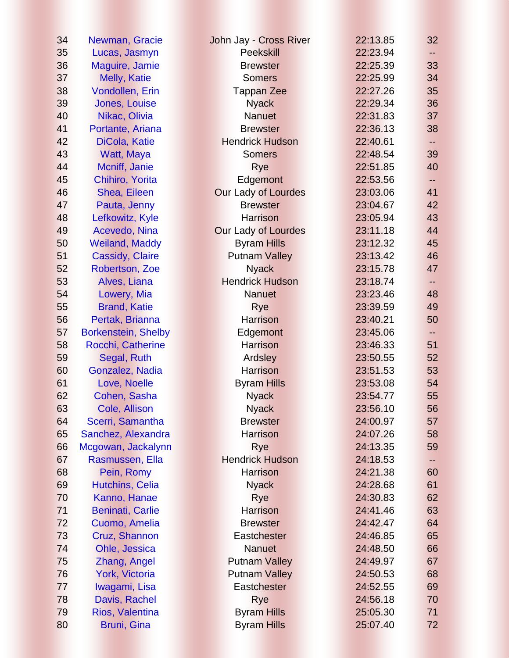| 34 | Newman, Gracie             | John Jay - Cross River     | 22:13.85 | 32 <sub>2</sub> |
|----|----------------------------|----------------------------|----------|-----------------|
| 35 | Lucas, Jasmyn              | <b>Peekskill</b>           | 22:23.94 |                 |
| 36 | Maguire, Jamie             | <b>Brewster</b>            | 22:25.39 | 33              |
| 37 | Melly, Katie               | <b>Somers</b>              | 22:25.99 | 34              |
| 38 | Vondollen, Erin            | <b>Tappan Zee</b>          | 22:27.26 | 35              |
| 39 | <b>Jones, Louise</b>       | <b>Nyack</b>               | 22:29.34 | 36              |
| 40 | Nikac, Olivia              | <b>Nanuet</b>              | 22:31.83 | 37              |
| 41 | Portante, Ariana           | <b>Brewster</b>            | 22:36.13 | 38              |
| 42 | DiCola, Katie              | <b>Hendrick Hudson</b>     | 22:40.61 |                 |
| 43 | Watt, Maya                 | <b>Somers</b>              | 22:48.54 | 39              |
| 44 | Mcniff, Janie              | Rye                        | 22:51.85 | 40              |
| 45 | Chihiro, Yorita            | Edgemont                   | 22:53.56 |                 |
| 46 | Shea, Eileen               | <b>Our Lady of Lourdes</b> | 23:03.06 | 41              |
| 47 | Pauta, Jenny               | <b>Brewster</b>            | 23:04.67 | 42              |
| 48 | Lefkowitz, Kyle            | <b>Harrison</b>            | 23:05.94 | 43              |
| 49 | Acevedo, Nina              | <b>Our Lady of Lourdes</b> | 23:11.18 | 44              |
| 50 | <b>Weiland, Maddy</b>      | <b>Byram Hills</b>         | 23:12.32 | 45              |
| 51 | <b>Cassidy, Claire</b>     | <b>Putnam Valley</b>       | 23:13.42 | 46              |
| 52 | Robertson, Zoe             | <b>Nyack</b>               | 23:15.78 | 47              |
| 53 | Alves, Liana               | <b>Hendrick Hudson</b>     | 23:18.74 |                 |
| 54 | Lowery, Mia                | <b>Nanuet</b>              | 23:23.46 | 48              |
| 55 | <b>Brand, Katie</b>        | Rye                        | 23:39.59 | 49              |
| 56 | Pertak, Brianna            | <b>Harrison</b>            | 23:40.21 | 50              |
| 57 | <b>Borkenstein, Shelby</b> | Edgemont                   | 23:45.06 | --              |
| 58 | Rocchi, Catherine          | <b>Harrison</b>            | 23:46.33 | 51              |
| 59 | Segal, Ruth                | Ardsley                    | 23:50.55 | 52              |
| 60 | Gonzalez, Nadia            | <b>Harrison</b>            | 23:51.53 | 53              |
| 61 | Love, Noelle               | <b>Byram Hills</b>         | 23:53.08 | 54              |
| 62 | Cohen, Sasha               | <b>Nyack</b>               | 23:54.77 | 55              |
| 63 | Cole, Allison              | <b>Nyack</b>               | 23:56.10 | 56              |
| 64 | Scerri, Samantha           | <b>Brewster</b>            | 24:00.97 | 57              |
| 65 | Sanchez, Alexandra         | <b>Harrison</b>            | 24:07.26 | 58              |
| 66 | Mcgowan, Jackalynn         | Rye                        | 24:13.35 | 59              |
| 67 | Rasmussen, Ella            | <b>Hendrick Hudson</b>     | 24:18.53 | --              |
| 68 | Pein, Romy                 | <b>Harrison</b>            | 24:21.38 | 60              |
| 69 | <b>Hutchins, Celia</b>     | <b>Nyack</b>               | 24:28.68 | 61              |
| 70 | Kanno, Hanae               | Rye                        | 24:30.83 | 62              |
| 71 | <b>Beninati, Carlie</b>    | <b>Harrison</b>            | 24:41.46 | 63              |
| 72 | Cuomo, Amelia              | <b>Brewster</b>            | 24:42.47 | 64              |
| 73 | Cruz, Shannon              | <b>Eastchester</b>         | 24:46.85 | 65              |
| 74 | Ohle, Jessica              | <b>Nanuet</b>              | 24:48.50 | 66              |
| 75 | Zhang, Angel               | <b>Putnam Valley</b>       | 24:49.97 | 67              |
| 76 | York, Victoria             | <b>Putnam Valley</b>       | 24:50.53 | 68              |
| 77 | Iwagami, Lisa              | <b>Eastchester</b>         | 24:52.55 | 69              |
| 78 | Davis, Rachel              | Rye                        | 24:56.18 | 70              |
| 79 | Rios, Valentina            | <b>Byram Hills</b>         | 25:05.30 | 71              |
| 80 | Bruni, Gina                | <b>Byram Hills</b>         | 25:07.40 | 72              |